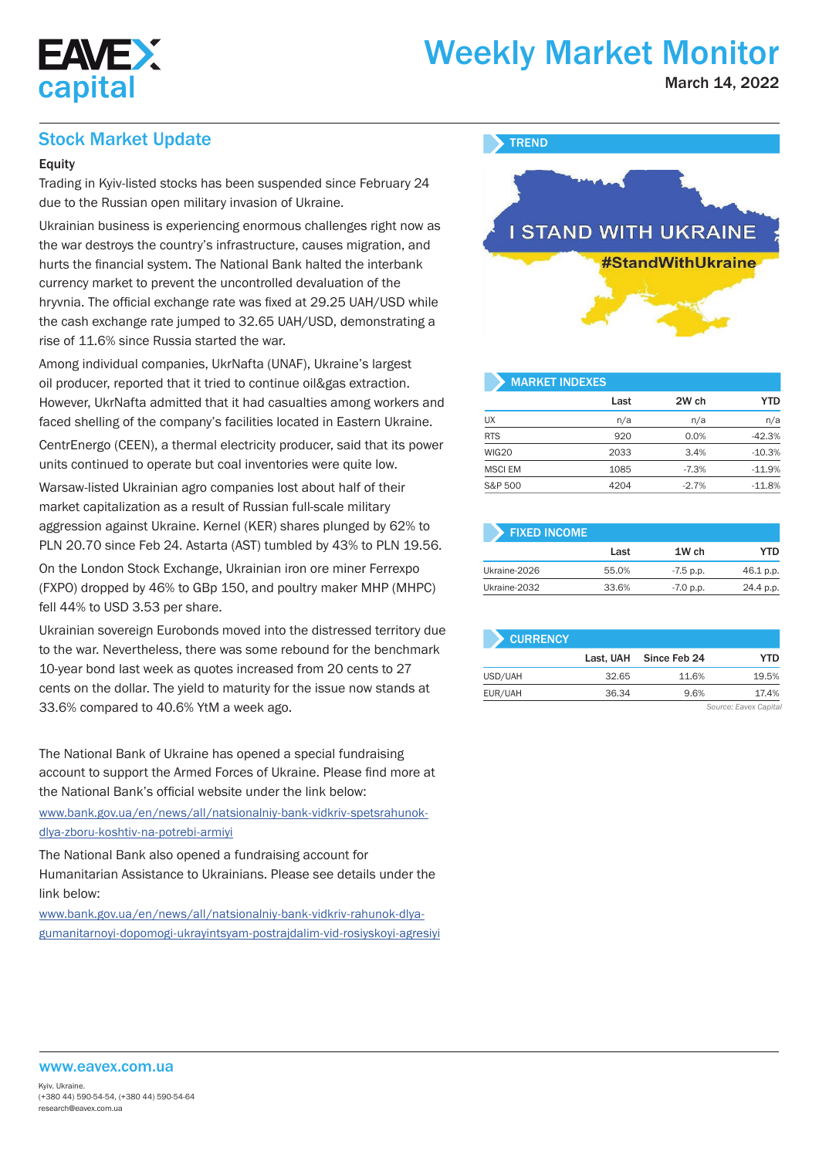

# Weekly Market Monitor

March 14, 2022

## Stock Market Update

#### **Equity**

Trading in Kyiv-listed stocks has been suspended since February 24 due to the Russian open military invasion of Ukraine.

Ukrainian business is experiencing enormous challenges right now as the war destroys the country's infrastructure, causes migration, and hurts the financial system. The National Bank halted the interbank currency market to prevent the uncontrolled devaluation of the hryvnia. The official exchange rate was fixed at 29.25 UAH/USD while the cash exchange rate jumped to 32.65 UAH/USD, demonstrating a rise of 11.6% since Russia started the war.

Among individual companies, UkrNafta (UNAF), Ukraine's largest oil producer, reported that it tried to continue oil&gas extraction. However, UkrNafta admitted that it had casualties among workers and faced shelling of the company's facilities located in Eastern Ukraine.

CentrEnergo (CEEN), a thermal electricity producer, said that its power units continued to operate but coal inventories were quite low.

Warsaw-listed Ukrainian agro companies lost about half of their market capitalization as a result of Russian full-scale military aggression against Ukraine. Kernel (KER) shares plunged by 62% to PLN 20.70 since Feb 24. Astarta (AST) tumbled by 43% to PLN 19.56.

On the London Stock Exchange, Ukrainian iron ore miner Ferrexpo (FXPO) dropped by 46% to GBp 150, and poultry maker MHP (MHPC) fell 44% to USD 3.53 per share.

Ukrainian sovereign Eurobonds moved into the distressed territory due to the war. Nevertheless, there was some rebound for the benchmark 10-year bond last week as quotes increased from 20 cents to 27 cents on the dollar. The yield to maturity for the issue now stands at 33.6% compared to 40.6% YtM a week ago.

The National Bank of Ukraine has opened a special fundraising account to support the Armed Forces of Ukraine. Please find more at the National Bank's official website under the link below: www.bank.gov.ua/en/news/all/natsionalniy-bank-vidkriv-spetsrahunokdlya-zboru-koshtiv-na-potrebi-armiyi

The National Bank also opened a fundraising account for Humanitarian Assistance to Ukrainians. Please see details under the link below:

www.bank.gov.ua/en/news/all/natsionalniy-bank-vidkriv-rahunok-dlyagumanitarnoyi-dopomogi-ukrayintsyam-postrajdalim-vid-rosiyskoyi-agresiyi

### **TREND**



# MARKET INDEXES

|                | Last | 2W ch   | <b>YTD</b> |
|----------------|------|---------|------------|
| <b>UX</b>      | n/a  | n/a     | n/a        |
| <b>RTS</b>     | 920  | 0.0%    | $-42.3%$   |
| WIG20          | 2033 | 3.4%    | $-10.3%$   |
| <b>MSCI EM</b> | 1085 | $-7.3%$ | $-11.9%$   |
| S&P 500        | 4204 | $-2.7%$ | $-11.8%$   |

| <b>FIXED INCOME</b> |       |             |           |
|---------------------|-------|-------------|-----------|
|                     | Last  | 1W ch       | YTD       |
| Ukraine-2026        | 55.0% | $-7.5$ p.p. | 46.1 p.p. |
| Ukraine-2032        | 33.6% | $-7.0$ p.p. | 24.4 p.p. |

| <b>CURRENCY</b> |           |              |       |
|-----------------|-----------|--------------|-------|
|                 | Last. UAH | Since Feb 24 | YTD   |
| USD/UAH         | 32.65     | 11.6%        | 19.5% |
| EUR/UAH         | 36.34     | 9.6%         | 17.4% |

*Source: Eavex Capital*

#### www.eavex.com.ua

Kyiv. Ukraine. (+380 44) 590-54-54, (+380 44) 590-54-64 research@eavex.com.ua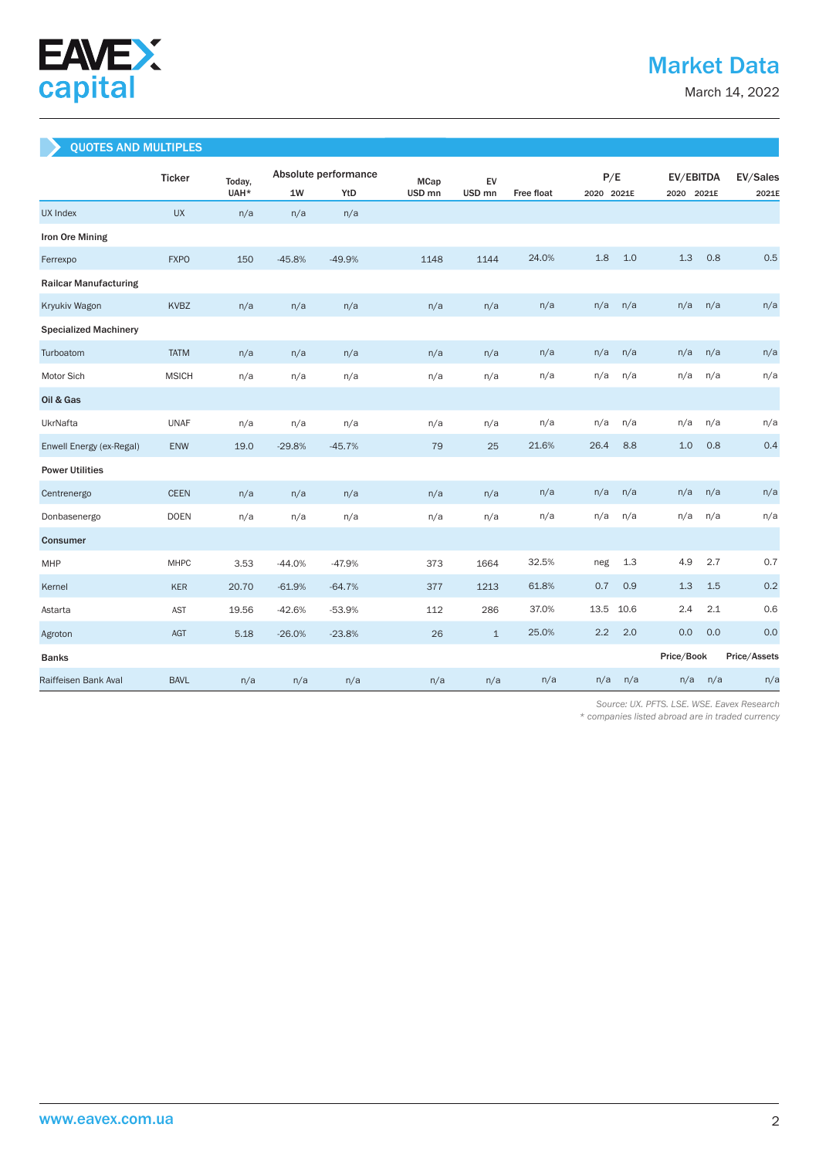

March 14, 2022

### QUOTES AND MULTIPLES

|                              | <b>Ticker</b> | Today, | Absolute performance |          | <b>MCap</b>       | EV                |            |      | P/E        |            | EV/EBITDA  |              |  |
|------------------------------|---------------|--------|----------------------|----------|-------------------|-------------------|------------|------|------------|------------|------------|--------------|--|
|                              |               | UAH*   | 1W                   | YtD      | USD <sub>mn</sub> | USD <sub>mn</sub> | Free float |      | 2020 2021E |            | 2020 2021E |              |  |
| <b>UX Index</b>              | <b>UX</b>     | n/a    | n/a                  | n/a      |                   |                   |            |      |            |            |            |              |  |
| Iron Ore Mining              |               |        |                      |          |                   |                   |            |      |            |            |            |              |  |
| Ferrexpo                     | <b>FXPO</b>   | 150    | $-45.8%$             | $-49.9%$ | 1148              | 1144              | 24.0%      | 1.8  | 1.0        | 1.3        | 0.8        | 0.5          |  |
| <b>Railcar Manufacturing</b> |               |        |                      |          |                   |                   |            |      |            |            |            |              |  |
| Kryukiv Wagon                | <b>KVBZ</b>   | n/a    | n/a                  | n/a      | n/a               | n/a               | n/a        | n/a  | n/a        | n/a        | n/a        | n/a          |  |
| <b>Specialized Machinery</b> |               |        |                      |          |                   |                   |            |      |            |            |            |              |  |
| Turboatom                    | <b>TATM</b>   | n/a    | n/a                  | n/a      | n/a               | n/a               | n/a        | n/a  | n/a        | n/a        | n/a        | n/a          |  |
| Motor Sich                   | <b>MSICH</b>  | n/a    | n/a                  | n/a      | n/a               | n/a               | n/a        | n/a  | n/a        | n/a        | n/a        | n/a          |  |
| Oil & Gas                    |               |        |                      |          |                   |                   |            |      |            |            |            |              |  |
| UkrNafta                     | <b>UNAF</b>   | n/a    | n/a                  | n/a      | n/a               | n/a               | n/a        | n/a  | n/a        | n/a        | n/a        | n/a          |  |
| Enwell Energy (ex-Regal)     | ENW           | 19.0   | $-29.8%$             | $-45.7%$ | 79                | 25                | 21.6%      | 26.4 | 8.8        | 1.0        | 0.8        | 0.4          |  |
| <b>Power Utilities</b>       |               |        |                      |          |                   |                   |            |      |            |            |            |              |  |
| Centrenergo                  | <b>CEEN</b>   | n/a    | n/a                  | n/a      | n/a               | n/a               | n/a        | n/a  | n/a        | n/a        | n/a        | n/a          |  |
| Donbasenergo                 | <b>DOEN</b>   | n/a    | n/a                  | n/a      | n/a               | n/a               | n/a        | n/a  | n/a        | n/a        | n/a        | n/a          |  |
| Consumer                     |               |        |                      |          |                   |                   |            |      |            |            |            |              |  |
| MHP                          | <b>MHPC</b>   | 3.53   | $-44.0%$             | $-47.9%$ | 373               | 1664              | 32.5%      | neg  | 1.3        | 4.9        | 2.7        | 0.7          |  |
| Kernel                       | <b>KER</b>    | 20.70  | $-61.9%$             | $-64.7%$ | 377               | 1213              | 61.8%      | 0.7  | 0.9        | 1.3        | 1.5        | 0.2          |  |
| Astarta                      | <b>AST</b>    | 19.56  | $-42.6%$             | $-53.9%$ | 112               | 286               | 37.0%      | 13.5 | 10.6       | 2.4        | 2.1        | 0.6          |  |
| Agroton                      | <b>AGT</b>    | 5.18   | $-26.0%$             | $-23.8%$ | 26                | $\mathbf{1}$      | 25.0%      | 2.2  | 2.0        | 0.0        | 0.0        | 0.0          |  |
| <b>Banks</b>                 |               |        |                      |          |                   |                   |            |      |            | Price/Book |            | Price/Assets |  |
| Raiffeisen Bank Aval         | <b>BAVL</b>   | n/a    | n/a                  | n/a      | n/a               | n/a               | n/a        | n/a  | n/a        | n/a        | n/a        | n/a          |  |

 *Source: UX. PFTS. LSE. WSE. Eavex Research* 

*\* companies listed abroad are in traded currency*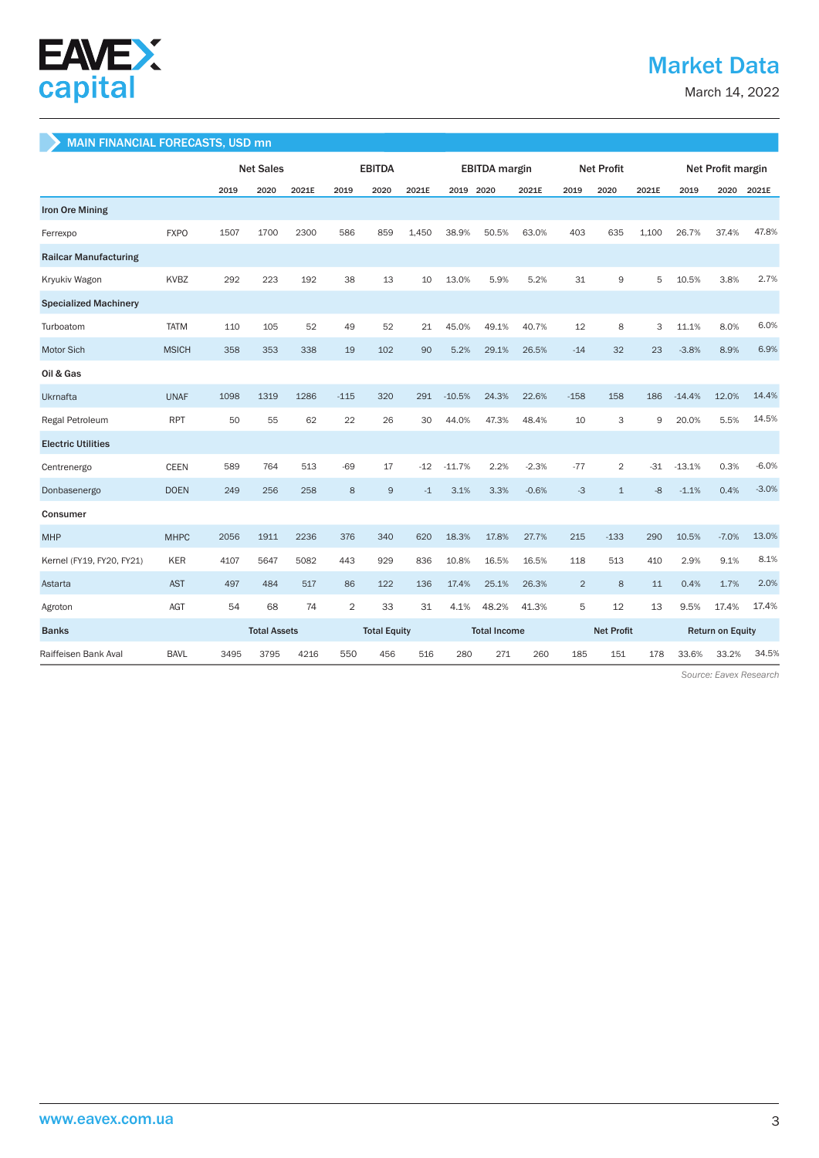

# Market Data

March 14, 2022

#### MAIN FINANCIAL FORECASTS, USD mn

|                              |              | <b>Net Sales</b> |                     | <b>EBITDA</b> |                |                     | <b>EBITDA</b> margin |           |       | <b>Net Profit</b>   |                |                   | Net Profit margin |                         |         |         |
|------------------------------|--------------|------------------|---------------------|---------------|----------------|---------------------|----------------------|-----------|-------|---------------------|----------------|-------------------|-------------------|-------------------------|---------|---------|
|                              |              | 2019             | 2020                | 2021E         | 2019           | 2020                | 2021E                | 2019 2020 |       | 2021E               | 2019           | 2020              | 2021E             | 2019                    | 2020    | 2021E   |
| <b>Iron Ore Mining</b>       |              |                  |                     |               |                |                     |                      |           |       |                     |                |                   |                   |                         |         |         |
| Ferrexpo                     | <b>FXPO</b>  | 1507             | 1700                | 2300          | 586            | 859                 | 1.450                | 38.9%     | 50.5% | 63.0%               | 403            | 635               | 1.100             | 26.7%                   | 37.4%   | 47.8%   |
| <b>Railcar Manufacturing</b> |              |                  |                     |               |                |                     |                      |           |       |                     |                |                   |                   |                         |         |         |
| Kryukiv Wagon                | <b>KVBZ</b>  | 292              | 223                 | 192           | 38             | 13                  | 10                   | 13.0%     | 5.9%  | 5.2%                | 31             | 9                 | 5                 | 10.5%                   | 3.8%    | 2.7%    |
| <b>Specialized Machinery</b> |              |                  |                     |               |                |                     |                      |           |       |                     |                |                   |                   |                         |         |         |
| Turboatom                    | <b>TATM</b>  | 110              | 105                 | 52            | 49             | 52                  | 21                   | 45.0%     | 49.1% | 40.7%               | 12             | 8                 | 3                 | 11.1%                   | 8.0%    | 6.0%    |
| Motor Sich                   | <b>MSICH</b> | 358              | 353                 | 338           | 19             | 102                 | 90                   | 5.2%      | 29.1% | 26.5%               | $-14$          | 32                | 23                | $-3.8%$                 | 8.9%    | 6.9%    |
| Oil & Gas                    |              |                  |                     |               |                |                     |                      |           |       |                     |                |                   |                   |                         |         |         |
| Ukrnafta                     | <b>UNAF</b>  | 1098             | 1319                | 1286          | $-115$         | 320                 | 291                  | $-10.5%$  | 24.3% | 22.6%               | $-158$         | 158               | 186               | $-14.4%$                | 12.0%   | 14.4%   |
| Regal Petroleum              | <b>RPT</b>   | 50               | 55                  | 62            | 22             | 26                  | 30                   | 44.0%     | 47.3% | 48.4%               | 10             | 3                 | 9                 | 20.0%                   | 5.5%    | 14.5%   |
| <b>Electric Utilities</b>    |              |                  |                     |               |                |                     |                      |           |       |                     |                |                   |                   |                         |         |         |
| Centrenergo                  | <b>CEEN</b>  | 589              | 764                 | 513           | $-69$          | 17                  | $-12$                | $-11.7%$  | 2.2%  | $-2.3%$             | $-77$          | $\overline{2}$    | -31               | $-13.1%$                | 0.3%    | $-6.0%$ |
| Donbasenergo                 | <b>DOEN</b>  | 249              | 256                 | 258           | 8              | $\overline{9}$      | $-1$                 | 3.1%      | 3.3%  | $-0.6%$             | $-3$           | $\mathbf{1}$      | $-8$              | $-1.1%$                 | 0.4%    | $-3.0%$ |
| Consumer                     |              |                  |                     |               |                |                     |                      |           |       |                     |                |                   |                   |                         |         |         |
| <b>MHP</b>                   | <b>MHPC</b>  | 2056             | 1911                | 2236          | 376            | 340                 | 620                  | 18.3%     | 17.8% | 27.7%               | 215            | $-133$            | 290               | 10.5%                   | $-7.0%$ | 13.0%   |
| Kernel (FY19, FY20, FY21)    | <b>KER</b>   | 4107             | 5647                | 5082          | 443            | 929                 | 836                  | 10.8%     | 16.5% | 16.5%               | 118            | 513               | 410               | 2.9%                    | 9.1%    | 8.1%    |
| Astarta                      | <b>AST</b>   | 497              | 484                 | 517           | 86             | 122                 | 136                  | 17.4%     | 25.1% | 26.3%               | $\overline{2}$ | 8                 | 11                | 0.4%                    | 1.7%    | 2.0%    |
| Agroton                      | AGT          | 54               | 68                  | 74            | $\overline{2}$ | 33                  | 31                   | 4.1%      | 48.2% | 41.3%               | 5              | 12                | 13                | 9.5%                    | 17.4%   | 17.4%   |
| <b>Banks</b>                 |              |                  | <b>Total Assets</b> |               |                | <b>Total Equity</b> |                      |           |       | <b>Total Income</b> |                | <b>Net Profit</b> |                   | <b>Return on Equity</b> |         |         |
| Raiffeisen Bank Aval         | <b>BAVL</b>  | 3495             | 3795                | 4216          | 550            | 456                 | 516                  | 280       | 271   | 260                 | 185            | 151               | 178               | 33.6%                   | 33.2%   | 34.5%   |

 *Source: Eavex Research*